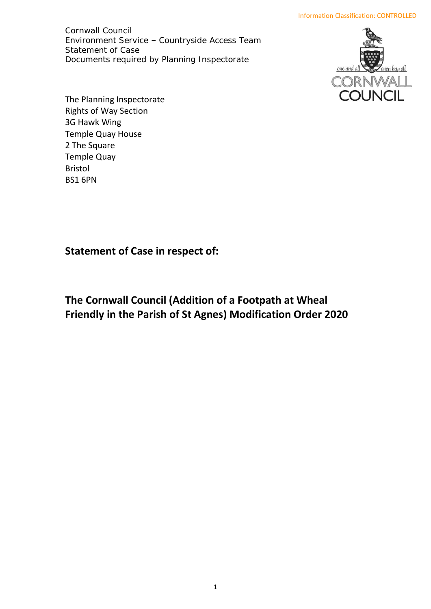Environment Service – Countryside Access Team Documents required by Planning Inspectorate Cornwall Council Statement of Case



 Rights of Way Section Temple Quay House The Planning Inspectorate 3G Hawk Wing 2 The Square Temple Quay Bristol BS1 6PN

**Statement of Case in respect of:** 

**The Cornwall Council (Addition of a Footpath at Wheal Friendly in the Parish of St Agnes) Modification Order 2020**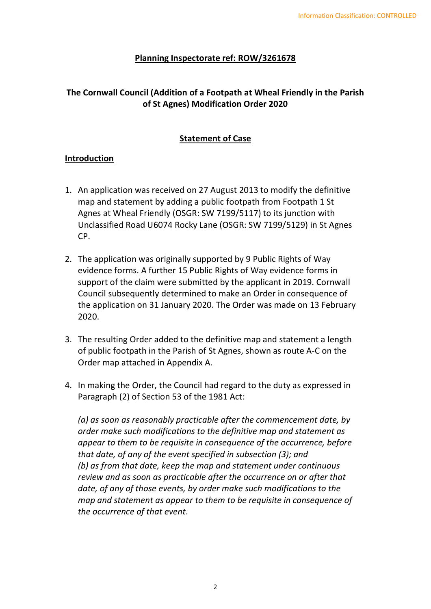#### **Planning Inspectorate ref: ROW/3261678**

# **The Cornwall Council (Addition of a Footpath at Wheal Friendly in the Parish of St Agnes) Modification Order 2020**

# **Statement of Case**

## **Introduction**

- 1. An application was received on 27 August 2013 to modify the definitive map and statement by adding a public footpath from Footpath 1 St Agnes at Wheal Friendly (OSGR: SW 7199/5117) to its junction with Unclassified Road U6074 Rocky Lane (OSGR: SW 7199/5129) in St Agnes CP.
- 2. The application was originally supported by 9 Public Rights of Way evidence forms. A further 15 Public Rights of Way evidence forms in support of the claim were submitted by the applicant in 2019. Cornwall Council subsequently determined to make an Order in consequence of the application on 31 January 2020. The Order was made on 13 February 2020.
- 3. The resulting Order added to the definitive map and statement a length of public footpath in the Parish of St Agnes, shown as route A-C on the Order map attached in Appendix A.
- 4. In making the Order, the Council had regard to the duty as expressed in Paragraph (2) of Section 53 of the 1981 Act:

*(a) as soon as reasonably practicable after the commencement date, by order make such modifications to the definitive map and statement as appear to them to be requisite in consequence of the occurrence, before that date, of any of the event specified in subsection (3); and (b) as from that date, keep the map and statement under continuous review and as soon as practicable after the occurrence on or after that date, of any of those events, by order make such modifications to the map and statement as appear to them to be requisite in consequence of the occurrence of that event*.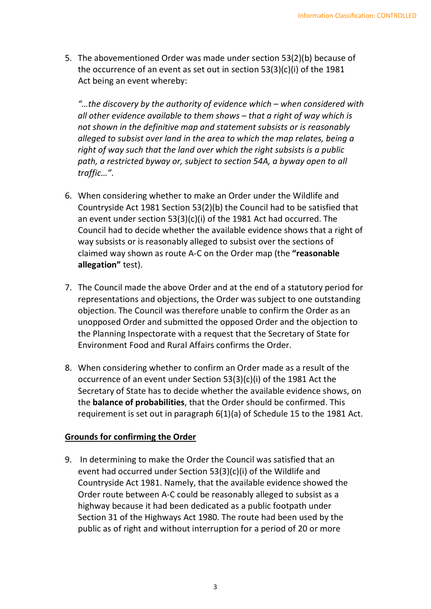5. The abovementioned Order was made under section 53(2)(b) because of the occurrence of an event as set out in section 53(3)(c)(i) of the 1981 Act being an event whereby:

 *all other evidence available to them shows – that a right of way which is "…the discovery by the authority of evidence which – when considered with not shown in the definitive map and statement subsists or is reasonably alleged to subsist over land in the area to which the map relates, being a right of way such that the land over which the right subsists is a public path, a restricted byway or, subject to section 54A, a byway open to all traffic…"*.

- 6. When considering whether to make an Order under the Wildlife and Countryside Act 1981 Section 53(2)(b) the Council had to be satisfied that an event under section 53(3)(c)(i) of the 1981 Act had occurred. The Council had to decide whether the available evidence shows that a right of way subsists or is reasonably alleged to subsist over the sections of claimed way shown as route A-C on the Order map (the **"reasonable allegation"** test).
- 7. The Council made the above Order and at the end of a statutory period for representations and objections, the Order was subject to one outstanding objection. The Council was therefore unable to confirm the Order as an unopposed Order and submitted the opposed Order and the objection to the Planning Inspectorate with a request that the Secretary of State for Environment Food and Rural Affairs confirms the Order.
- 8. When considering whether to confirm an Order made as a result of the occurrence of an event under Section 53(3)(c)(i) of the 1981 Act the Secretary of State has to decide whether the available evidence shows, on the **balance of probabilities**, that the Order should be confirmed. This requirement is set out in paragraph 6(1)(a) of Schedule 15 to the 1981 Act.

# **Grounds for confirming the Order**

 9. In determining to make the Order the Council was satisfied that an event had occurred under Section 53(3)(c)(i) of the Wildlife and Countryside Act 1981. Namely, that the available evidence showed the Order route between A-C could be reasonably alleged to subsist as a highway because it had been dedicated as a public footpath under Section 31 of the Highways Act 1980. The route had been used by the public as of right and without interruption for a period of 20 or more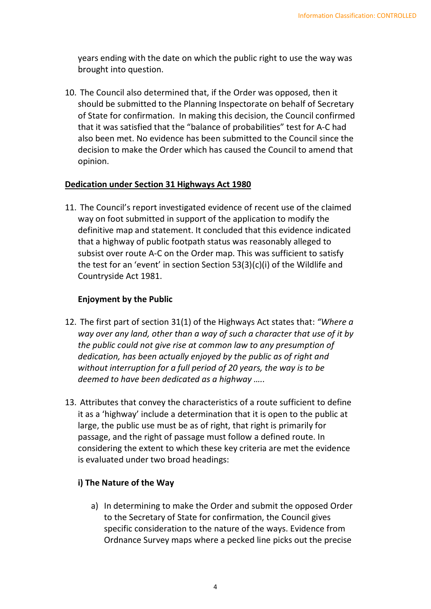years ending with the date on which the public right to use the way was brought into question.

 10. The Council also determined that, if the Order was opposed, then it should be submitted to the Planning Inspectorate on behalf of Secretary of State for confirmation. In making this decision, the Council confirmed that it was satisfied that the "balance of probabilities" test for A-C had also been met. No evidence has been submitted to the Council since the decision to make the Order which has caused the Council to amend that opinion.

# **Dedication under Section 31 Highways Act 1980**

 11. The Council's report investigated evidence of recent use of the claimed way on foot submitted in support of the application to modify the definitive map and statement. It concluded that this evidence indicated that a highway of public footpath status was reasonably alleged to subsist over route A-C on the Order map. This was sufficient to satisfy the test for an 'event' in section Section 53(3)(c)(i) of the Wildlife and Countryside Act 1981.

## **Enjoyment by the Public**

- 12. The first part of section 31(1) of the Highways Act states that: *"Where a way over any land, other than a way of such a character that use of it by the public could not give rise at common law to any presumption of dedication, has been actually enjoyed by the public as of right and without interruption for a full period of 20 years, the way is to be deemed to have been dedicated as a highway …..*
- 13. Attributes that convey the characteristics of a route sufficient to define it as a 'highway' include a determination that it is open to the public at large, the public use must be as of right, that right is primarily for passage, and the right of passage must follow a defined route. In considering the extent to which these key criteria are met the evidence is evaluated under two broad headings:

# **i) The Nature of the Way**

 a) In determining to make the Order and submit the opposed Order to the Secretary of State for confirmation, the Council gives specific consideration to the nature of the ways. Evidence from Ordnance Survey maps where a pecked line picks out the precise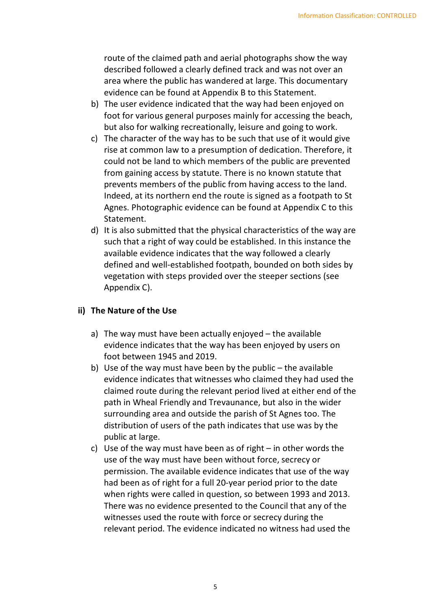route of the claimed path and aerial photographs show the way described followed a clearly defined track and was not over an area where the public has wandered at large. This documentary evidence can be found at Appendix B to this Statement.

- b) The user evidence indicated that the way had been enjoyed on foot for various general purposes mainly for accessing the beach, but also for walking recreationally, leisure and going to work.
- c) The character of the way has to be such that use of it would give rise at common law to a presumption of dedication. Therefore, it could not be land to which members of the public are prevented from gaining access by statute. There is no known statute that prevents members of the public from having access to the land. Indeed, at its northern end the route is signed as a footpath to St Agnes. Photographic evidence can be found at Appendix C to this Statement.
- d) It is also submitted that the physical characteristics of the way are such that a right of way could be established. In this instance the available evidence indicates that the way followed a clearly defined and well-established footpath, bounded on both sides by vegetation with steps provided over the steeper sections (see Appendix C).

# **ii) The Nature of the Use**

- a) The way must have been actually enjoyed the available evidence indicates that the way has been enjoyed by users on foot between 1945 and 2019.
- b) Use of the way must have been by the public the available evidence indicates that witnesses who claimed they had used the claimed route during the relevant period lived at either end of the path in Wheal Friendly and Trevaunance, but also in the wider surrounding area and outside the parish of St Agnes too. The distribution of users of the path indicates that use was by the public at large.
- c) Use of the way must have been as of right in other words the use of the way must have been without force, secrecy or permission. The available evidence indicates that use of the way had been as of right for a full 20-year period prior to the date when rights were called in question, so between 1993 and 2013. There was no evidence presented to the Council that any of the witnesses used the route with force or secrecy during the relevant period. The evidence indicated no witness had used the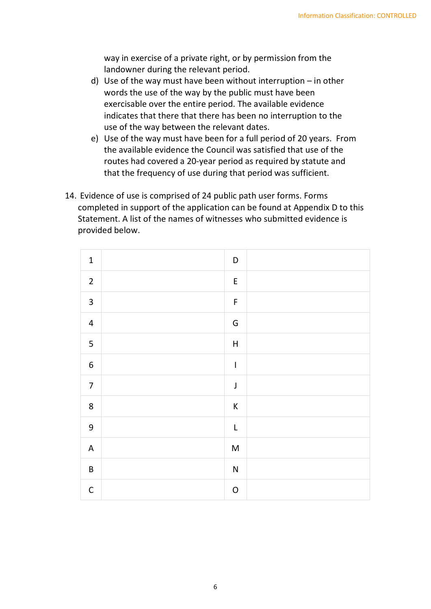way in exercise of a private right, or by permission from the landowner during the relevant period.

- d) Use of the way must have been without interruption in other words the use of the way by the public must have been exercisable over the entire period. The available evidence indicates that there that there has been no interruption to the use of the way between the relevant dates.
- e) Use of the way must have been for a full period of 20 years. From the available evidence the Council was satisfied that use of the routes had covered a 20-year period as required by statute and that the frequency of use during that period was sufficient.
- 14. Evidence of use is comprised of 24 public path user forms. Forms completed in support of the application can be found at Appendix D to this Statement. A list of the names of witnesses who submitted evidence is provided below.

| $\mathbf 1$             | $\mathsf D$                                                                                                |  |
|-------------------------|------------------------------------------------------------------------------------------------------------|--|
| $\overline{2}$          | $\mathsf E$                                                                                                |  |
| $\mathbf{3}$            | $\mathsf F$                                                                                                |  |
| $\overline{\mathbf{4}}$ | ${\mathsf G}$                                                                                              |  |
| 5                       | $\boldsymbol{\mathsf{H}}$                                                                                  |  |
| $\boldsymbol{6}$        | $\mathsf I$                                                                                                |  |
| $\overline{7}$          | $\mathsf J$                                                                                                |  |
| $\bf 8$                 | $\sf K$                                                                                                    |  |
| $\boldsymbol{9}$        | $\overline{\mathsf{L}}$                                                                                    |  |
| $\mathsf A$             | $\mathsf{M}% _{T}=\mathsf{M}_{T}\!\left( a,b\right) ,\ \mathsf{M}_{T}=\mathsf{M}_{T}\!\left( a,b\right) ,$ |  |
| $\sf B$                 | ${\sf N}$                                                                                                  |  |
| $\mathsf C$             | ${\mathsf O}$                                                                                              |  |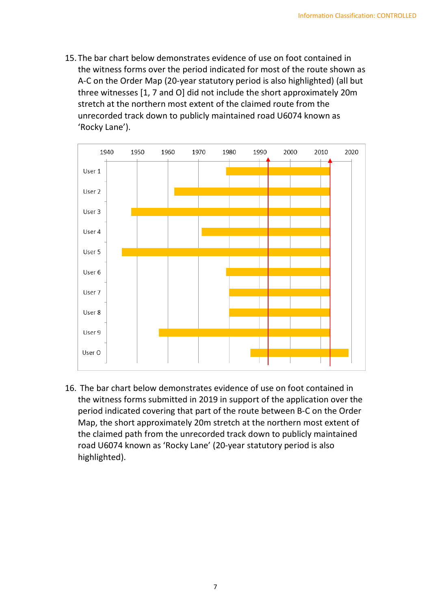15. The bar chart below demonstrates evidence of use on foot contained in the witness forms over the period indicated for most of the route shown as A-C on the Order Map (20-year statutory period is also highlighted) (all but three witnesses [1, 7 and O] did not include the short approximately 20m stretch at the northern most extent of the claimed route from the unrecorded track down to publicly maintained road U6074 known as 'Rocky Lane').



 16. The bar chart below demonstrates evidence of use on foot contained in the witness forms submitted in 2019 in support of the application over the period indicated covering that part of the route between B-C on the Order Map, the short approximately 20m stretch at the northern most extent of the claimed path from the unrecorded track down to publicly maintained road U6074 known as 'Rocky Lane' (20-year statutory period is also highlighted).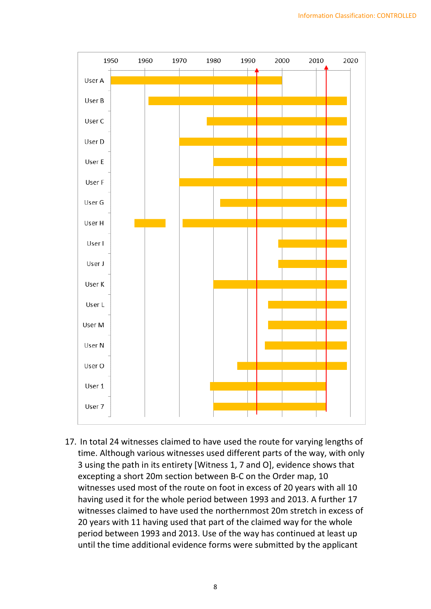

 17. In total 24 witnesses claimed to have used the route for varying lengths of time. Although various witnesses used different parts of the way, with only 3 using the path in its entirety [Witness 1, 7 and O], evidence shows that excepting a short 20m section between B-C on the Order map, 10 witnesses used most of the route on foot in excess of 20 years with all 10 having used it for the whole period between 1993 and 2013. A further 17 witnesses claimed to have used the northernmost 20m stretch in excess of 20 years with 11 having used that part of the claimed way for the whole period between 1993 and 2013. Use of the way has continued at least up until the time additional evidence forms were submitted by the applicant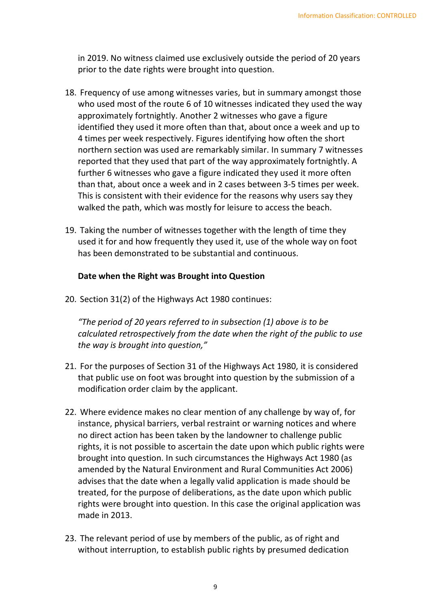in 2019. No witness claimed use exclusively outside the period of 20 years prior to the date rights were brought into question.

- 18. Frequency of use among witnesses varies, but in summary amongst those who used most of the route 6 of 10 witnesses indicated they used the way approximately fortnightly. Another 2 witnesses who gave a figure identified they used it more often than that, about once a week and up to 4 times per week respectively. Figures identifying how often the short northern section was used are remarkably similar. In summary 7 witnesses reported that they used that part of the way approximately fortnightly. A further 6 witnesses who gave a figure indicated they used it more often than that, about once a week and in 2 cases between 3-5 times per week. This is consistent with their evidence for the reasons why users say they walked the path, which was mostly for leisure to access the beach.
- 19. Taking the number of witnesses together with the length of time they used it for and how frequently they used it, use of the whole way on foot has been demonstrated to be substantial and continuous.

#### **Date when the Right was Brought into Question**

20. Section 31(2) of the Highways Act 1980 continues:

*"The period of 20 years referred to in subsection (1) above is to be calculated retrospectively from the date when the right of the public to use the way is brought into question,"* 

- 21. For the purposes of Section 31 of the Highways Act 1980, it is considered that public use on foot was brought into question by the submission of a modification order claim by the applicant.
- 22. Where evidence makes no clear mention of any challenge by way of, for instance, physical barriers, verbal restraint or warning notices and where no direct action has been taken by the landowner to challenge public rights, it is not possible to ascertain the date upon which public rights were brought into question. In such circumstances the Highways Act 1980 (as amended by the Natural Environment and Rural Communities Act 2006) advises that the date when a legally valid application is made should be treated, for the purpose of deliberations, as the date upon which public rights were brought into question. In this case the original application was made in 2013.
- 23. The relevant period of use by members of the public, as of right and without interruption, to establish public rights by presumed dedication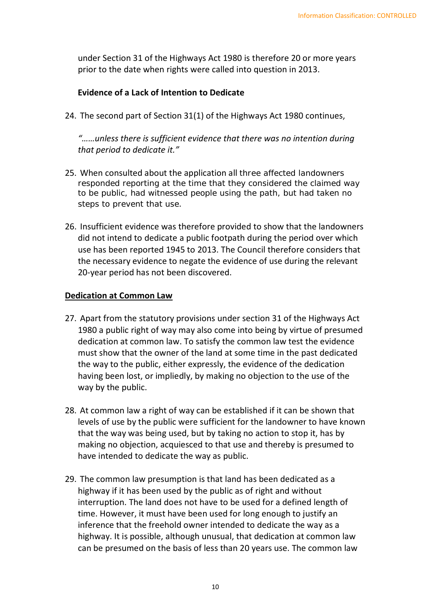under Section 31 of the Highways Act 1980 is therefore 20 or more years prior to the date when rights were called into question in 2013.

### **Evidence of a Lack of Intention to Dedicate**

24. The second part of Section 31(1) of the Highways Act 1980 continues,

*"……unless there is sufficient evidence that there was no intention during that period to dedicate it."* 

- 25. When consulted about the application all three affected landowners responded reporting at the time that they considered the claimed way to be public, had witnessed people using the path, but had taken no steps to prevent that use.
- 26. Insufficient evidence was therefore provided to show that the landowners did not intend to dedicate a public footpath during the period over which use has been reported 1945 to 2013. The Council therefore considers that the necessary evidence to negate the evidence of use during the relevant 20-year period has not been discovered.

#### **Dedication at Common Law**

- 27. Apart from the statutory provisions under section 31 of the Highways Act 1980 a public right of way may also come into being by virtue of presumed dedication at common law. To satisfy the common law test the evidence must show that the owner of the land at some time in the past dedicated the way to the public, either expressly, the evidence of the dedication having been lost, or impliedly, by making no objection to the use of the way by the public.
- 28. At common law a right of way can be established if it can be shown that levels of use by the public were sufficient for the landowner to have known that the way was being used, but by taking no action to stop it, has by making no objection, acquiesced to that use and thereby is presumed to have intended to dedicate the way as public.
- 29. The common law presumption is that land has been dedicated as a highway if it has been used by the public as of right and without interruption. The land does not have to be used for a defined length of time. However, it must have been used for long enough to justify an inference that the freehold owner intended to dedicate the way as a highway. It is possible, although unusual, that dedication at common law can be presumed on the basis of less than 20 years use. The common law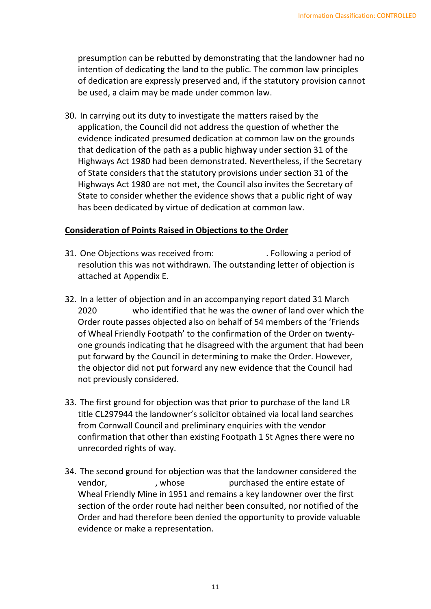presumption can be rebutted by demonstrating that the landowner had no intention of dedicating the land to the public. The common law principles of dedication are expressly preserved and, if the statutory provision cannot be used, a claim may be made under common law.

 30. In carrying out its duty to investigate the matters raised by the application, the Council did not address the question of whether the evidence indicated presumed dedication at common law on the grounds that dedication of the path as a public highway under section 31 of the Highways Act 1980 had been demonstrated. Nevertheless, if the Secretary of State considers that the statutory provisions under section 31 of the Highways Act 1980 are not met, the Council also invites the Secretary of State to consider whether the evidence shows that a public right of way has been dedicated by virtue of dedication at common law.

## **Consideration of Points Raised in Objections to the Order**

- 31. One Objections was received from: . . Following a period of resolution this was not withdrawn. The outstanding letter of objection is attached at Appendix E.
- 32. In a letter of objection and in an accompanying report dated 31 March 2020 Order route passes objected also on behalf of 54 members of the 'Friends of Wheal Friendly Footpath' to the confirmation of the Order on twenty- one grounds indicating that he disagreed with the argument that had been put forward by the Council in determining to make the Order. However, the objector did not put forward any new evidence that the Council had not previously considered. who identified that he was the owner of land over which the
- 33. The first ground for objection was that prior to purchase of the land LR from Cornwall Council and preliminary enquiries with the vendor confirmation that other than existing Footpath 1 St Agnes there were no unrecorded rights of way. title CL297944 the landowner's solicitor obtained via local land searches
- 34. The second ground for objection was that the landowner considered the , whose Wheal Friendly Mine in 1951 and remains a key landowner over the first section of the order route had neither been consulted, nor notified of the Order and had therefore been denied the opportunity to provide valuable evidence or make a representation. vendor, whose purchased the entire estate of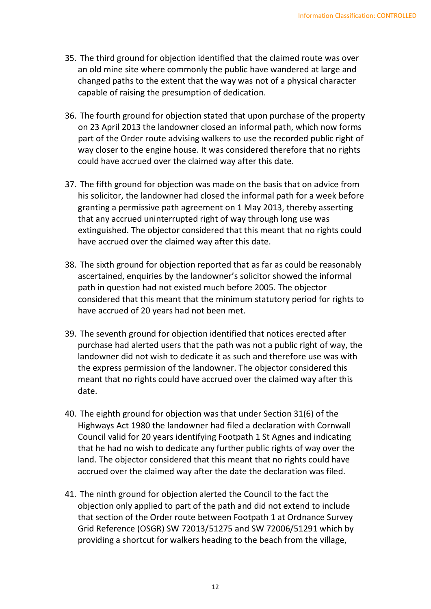- 35. The third ground for objection identified that the claimed route was over an old mine site where commonly the public have wandered at large and changed paths to the extent that the way was not of a physical character capable of raising the presumption of dedication.
- 36. The fourth ground for objection stated that upon purchase of the property on 23 April 2013 the landowner closed an informal path, which now forms part of the Order route advising walkers to use the recorded public right of way closer to the engine house. It was considered therefore that no rights could have accrued over the claimed way after this date.
- 37. The fifth ground for objection was made on the basis that on advice from his solicitor, the landowner had closed the informal path for a week before granting a permissive path agreement on 1 May 2013, thereby asserting that any accrued uninterrupted right of way through long use was extinguished. The objector considered that this meant that no rights could have accrued over the claimed way after this date.
- 38. The sixth ground for objection reported that as far as could be reasonably ascertained, enquiries by the landowner's solicitor showed the informal path in question had not existed much before 2005. The objector considered that this meant that the minimum statutory period for rights to have accrued of 20 years had not been met.
- 39. The seventh ground for objection identified that notices erected after purchase had alerted users that the path was not a public right of way, the landowner did not wish to dedicate it as such and therefore use was with the express permission of the landowner. The objector considered this meant that no rights could have accrued over the claimed way after this date.
- 40. The eighth ground for objection was that under Section 31(6) of the Highways Act 1980 the landowner had filed a declaration with Cornwall Council valid for 20 years identifying Footpath 1 St Agnes and indicating that he had no wish to dedicate any further public rights of way over the land. The objector considered that this meant that no rights could have accrued over the claimed way after the date the declaration was filed.
- 41. The ninth ground for objection alerted the Council to the fact the objection only applied to part of the path and did not extend to include that section of the Order route between Footpath 1 at Ordnance Survey Grid Reference (OSGR) SW 72013/51275 and SW 72006/51291 which by providing a shortcut for walkers heading to the beach from the village,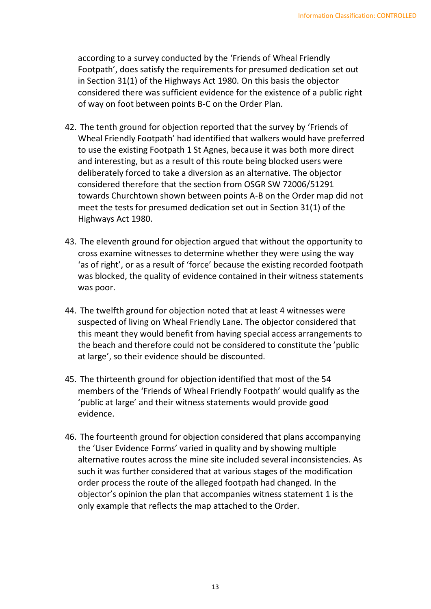according to a survey conducted by the 'Friends of Wheal Friendly Footpath', does satisfy the requirements for presumed dedication set out in Section 31(1) of the Highways Act 1980. On this basis the objector considered there was sufficient evidence for the existence of a public right of way on foot between points B-C on the Order Plan.

- 42. The tenth ground for objection reported that the survey by 'Friends of Wheal Friendly Footpath' had identified that walkers would have preferred to use the existing Footpath 1 St Agnes, because it was both more direct and interesting, but as a result of this route being blocked users were deliberately forced to take a diversion as an alternative. The objector considered therefore that the section from OSGR SW 72006/51291 towards Churchtown shown between points A-B on the Order map did not meet the tests for presumed dedication set out in Section 31(1) of the Highways Act 1980.
- 43. The eleventh ground for objection argued that without the opportunity to cross examine witnesses to determine whether they were using the way 'as of right', or as a result of 'force' because the existing recorded footpath was blocked, the quality of evidence contained in their witness statements was poor.
- 44. The twelfth ground for objection noted that at least 4 witnesses were suspected of living on Wheal Friendly Lane. The objector considered that this meant they would benefit from having special access arrangements to the beach and therefore could not be considered to constitute the 'public at large', so their evidence should be discounted.
- 45. The thirteenth ground for objection identified that most of the 54 members of the 'Friends of Wheal Friendly Footpath' would qualify as the 'public at large' and their witness statements would provide good evidence.
- 46. The fourteenth ground for objection considered that plans accompanying the 'User Evidence Forms' varied in quality and by showing multiple alternative routes across the mine site included several inconsistencies. As such it was further considered that at various stages of the modification order process the route of the alleged footpath had changed. In the objector's opinion the plan that accompanies witness statement 1 is the only example that reflects the map attached to the Order.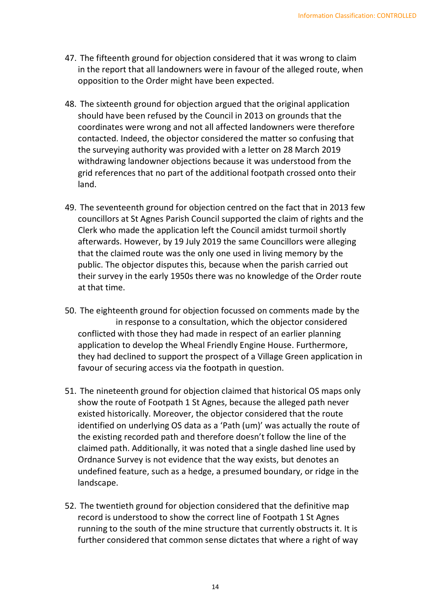- 47. The fifteenth ground for objection considered that it was wrong to claim in the report that all landowners were in favour of the alleged route, when opposition to the Order might have been expected.
- 48. The sixteenth ground for objection argued that the original application should have been refused by the Council in 2013 on grounds that the coordinates were wrong and not all affected landowners were therefore contacted. Indeed, the objector considered the matter so confusing that the surveying authority was provided with a letter on 28 March 2019 withdrawing landowner objections because it was understood from the grid references that no part of the additional footpath crossed onto their land.
- 49. The seventeenth ground for objection centred on the fact that in 2013 few councillors at St Agnes Parish Council supported the claim of rights and the Clerk who made the application left the Council amidst turmoil shortly afterwards. However, by 19 July 2019 the same Councillors were alleging that the claimed route was the only one used in living memory by the public. The objector disputes this, because when the parish carried out their survey in the early 1950s there was no knowledge of the Order route at that time.
- 50. The eighteenth ground for objection focussed on comments made by the in response to a consultation, which the objector considered conflicted with those they had made in respect of an earlier planning application to develop the Wheal Friendly Engine House. Furthermore, they had declined to support the prospect of a Village Green application in favour of securing access via the footpath in question.
- 51. The nineteenth ground for objection claimed that historical OS maps only show the route of Footpath 1 St Agnes, because the alleged path never existed historically. Moreover, the objector considered that the route identified on underlying OS data as a 'Path (um)' was actually the route of the existing recorded path and therefore doesn't follow the line of the claimed path. Additionally, it was noted that a single dashed line used by Ordnance Survey is not evidence that the way exists, but denotes an undefined feature, such as a hedge, a presumed boundary, or ridge in the landscape.
- 52. The twentieth ground for objection considered that the definitive map record is understood to show the correct line of Footpath 1 St Agnes running to the south of the mine structure that currently obstructs it. It is further considered that common sense dictates that where a right of way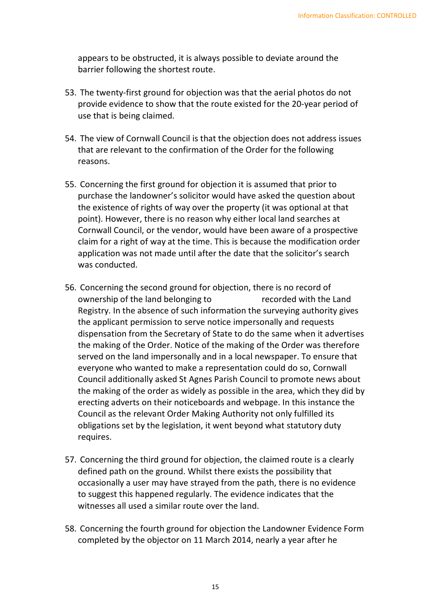appears to be obstructed, it is always possible to deviate around the barrier following the shortest route.

- 53. The twenty-first ground for objection was that the aerial photos do not provide evidence to show that the route existed for the 20-year period of use that is being claimed.
- 54. The view of Cornwall Council is that the objection does not address issues that are relevant to the confirmation of the Order for the following reasons.
- 55. Concerning the first ground for objection it is assumed that prior to purchase the landowner's solicitor would have asked the question about the existence of rights of way over the property (it was optional at that point). However, there is no reason why either local land searches at Cornwall Council, or the vendor, would have been aware of a prospective claim for a right of way at the time. This is because the modification order application was not made until after the date that the solicitor's search was conducted.
- 56. Concerning the second ground for objection, there is no record of ownership of the land belonging to recorded with the Land Registry. In the absence of such information the surveying authority gives the applicant permission to serve notice impersonally and requests dispensation from the Secretary of State to do the same when it advertises the making of the Order. Notice of the making of the Order was therefore served on the land impersonally and in a local newspaper. To ensure that everyone who wanted to make a representation could do so, Cornwall Council additionally asked St Agnes Parish Council to promote news about the making of the order as widely as possible in the area, which they did by erecting adverts on their noticeboards and webpage. In this instance the Council as the relevant Order Making Authority not only fulfilled its obligations set by the legislation, it went beyond what statutory duty requires.
- 57. Concerning the third ground for objection, the claimed route is a clearly defined path on the ground. Whilst there exists the possibility that occasionally a user may have strayed from the path, there is no evidence to suggest this happened regularly. The evidence indicates that the witnesses all used a similar route over the land.
- 58. Concerning the fourth ground for objection the Landowner Evidence Form completed by the objector on 11 March 2014, nearly a year after he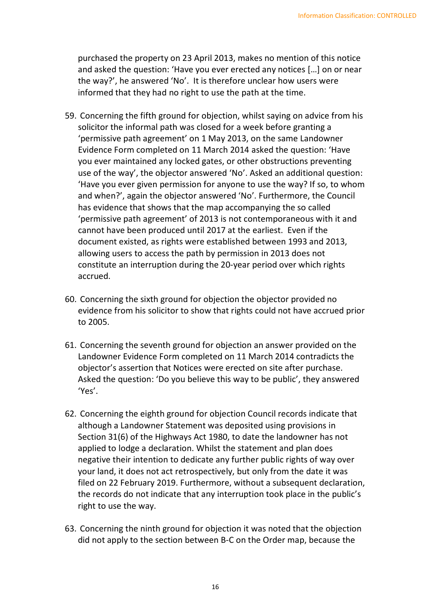purchased the property on 23 April 2013, makes no mention of this notice and asked the question: 'Have you ever erected any notices […] on or near the way?', he answered 'No'. It is therefore unclear how users were informed that they had no right to use the path at the time.

- 59. Concerning the fifth ground for objection, whilst saying on advice from his solicitor the informal path was closed for a week before granting a 'permissive path agreement' on 1 May 2013, on the same Landowner Evidence Form completed on 11 March 2014 asked the question: 'Have you ever maintained any locked gates, or other obstructions preventing use of the way', the objector answered 'No'. Asked an additional question: 'Have you ever given permission for anyone to use the way? If so, to whom and when?', again the objector answered 'No'. Furthermore, the Council has evidence that shows that the map accompanying the so called 'permissive path agreement' of 2013 is not contemporaneous with it and cannot have been produced until 2017 at the earliest. Even if the allowing users to access the path by permission in 2013 does not constitute an interruption during the 20-year period over which rights document existed, as rights were established between 1993 and 2013, accrued.
- 60. Concerning the sixth ground for objection the objector provided no evidence from his solicitor to show that rights could not have accrued prior to 2005.
- 61. Concerning the seventh ground for objection an answer provided on the Landowner Evidence Form completed on 11 March 2014 contradicts the objector's assertion that Notices were erected on site after purchase. Asked the question: 'Do you believe this way to be public', they answered 'Yes'.
- 62. Concerning the eighth ground for objection Council records indicate that although a Landowner Statement was deposited using provisions in Section 31(6) of the Highways Act 1980, to date the landowner has not applied to lodge a declaration. Whilst the statement and plan does negative their intention to dedicate any further public rights of way over your land, it does not act retrospectively, but only from the date it was filed on 22 February 2019. Furthermore, without a subsequent declaration, the records do not indicate that any interruption took place in the public's right to use the way.
- 63. Concerning the ninth ground for objection it was noted that the objection did not apply to the section between B-C on the Order map, because the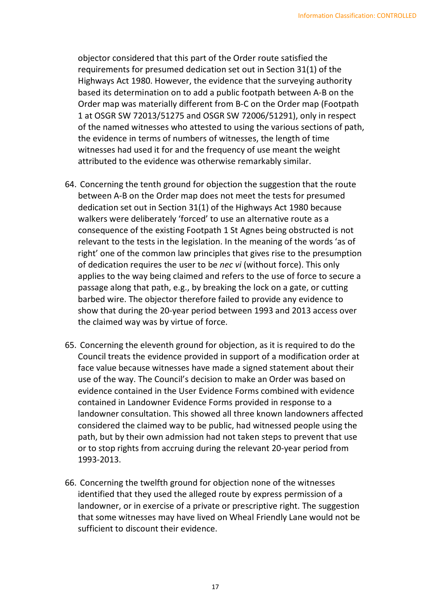objector considered that this part of the Order route satisfied the requirements for presumed dedication set out in Section 31(1) of the Highways Act 1980. However, the evidence that the surveying authority based its determination on to add a public footpath between A-B on the Order map was materially different from B-C on the Order map (Footpath 1 at OSGR SW 72013/51275 and OSGR SW 72006/51291), only in respect of the named witnesses who attested to using the various sections of path, the evidence in terms of numbers of witnesses, the length of time witnesses had used it for and the frequency of use meant the weight attributed to the evidence was otherwise remarkably similar.

- 64. Concerning the tenth ground for objection the suggestion that the route between A-B on the Order map does not meet the tests for presumed dedication set out in Section 31(1) of the Highways Act 1980 because walkers were deliberately 'forced' to use an alternative route as a consequence of the existing Footpath 1 St Agnes being obstructed is not relevant to the tests in the legislation. In the meaning of the words 'as of right' one of the common law principles that gives rise to the presumption of dedication requires the user to be *nec vi* (without force). This only applies to the way being claimed and refers to the use of force to secure a passage along that path, e.g., by breaking the lock on a gate, or cutting barbed wire. The objector therefore failed to provide any evidence to show that during the 20-year period between 1993 and 2013 access over the claimed way was by virtue of force.
- 65. Concerning the eleventh ground for objection, as it is required to do the Council treats the evidence provided in support of a modification order at face value because witnesses have made a signed statement about their use of the way. The Council's decision to make an Order was based on evidence contained in the User Evidence Forms combined with evidence contained in Landowner Evidence Forms provided in response to a landowner consultation. This showed all three known landowners affected considered the claimed way to be public, had witnessed people using the path, but by their own admission had not taken steps to prevent that use or to stop rights from accruing during the relevant 20-year period from 1993-2013.
- 66. Concerning the twelfth ground for objection none of the witnesses identified that they used the alleged route by express permission of a landowner, or in exercise of a private or prescriptive right. The suggestion that some witnesses may have lived on Wheal Friendly Lane would not be sufficient to discount their evidence.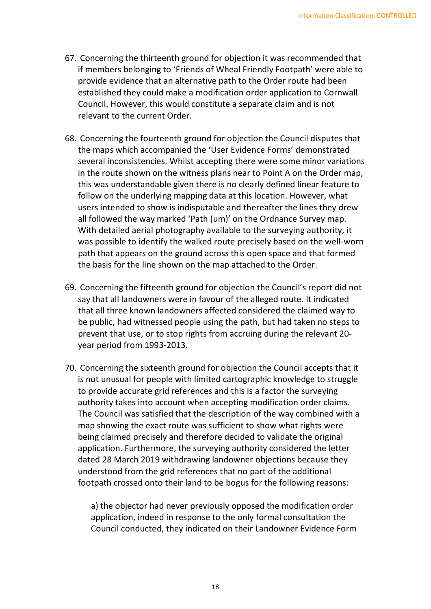- 67. Concerning the thirteenth ground for objection it was recommended that if members belonging to 'Friends of Wheal Friendly Footpath' were able to provide evidence that an alternative path to the Order route had been established they could make a modification order application to Cornwall Council. However, this would constitute a separate claim and is not relevant to the current Order.
- 68. Concerning the fourteenth ground for objection the Council disputes that the maps which accompanied the 'User Evidence Forms' demonstrated several inconsistencies. Whilst accepting there were some minor variations in the route shown on the witness plans near to Point A on the Order map, this was understandable given there is no clearly defined linear feature to follow on the underlying mapping data at this location. However, what users intended to show is indisputable and thereafter the lines they drew all followed the way marked 'Path (um)' on the Ordnance Survey map. With detailed aerial photography available to the surveying authority, it was possible to identify the walked route precisely based on the well-worn path that appears on the ground across this open space and that formed the basis for the line shown on the map attached to the Order.
- 69. Concerning the fifteenth ground for objection the Council's report did not say that all landowners were in favour of the alleged route. It indicated that all three known landowners affected considered the claimed way to be public, had witnessed people using the path, but had taken no steps to prevent that use, or to stop rights from accruing during the relevant 20- year period from 1993-2013.
- 70. Concerning the sixteenth ground for objection the Council accepts that it is not unusual for people with limited cartographic knowledge to struggle to provide accurate grid references and this is a factor the surveying authority takes into account when accepting modification order claims. The Council was satisfied that the description of the way combined with a map showing the exact route was sufficient to show what rights were being claimed precisely and therefore decided to validate the original application. Furthermore, the surveying authority considered the letter dated 28 March 2019 withdrawing landowner objections because they understood from the grid references that no part of the additional footpath crossed onto their land to be bogus for the following reasons:

 a) the objector had never previously opposed the modification order application, indeed in response to the only formal consultation the Council conducted, they indicated on their Landowner Evidence Form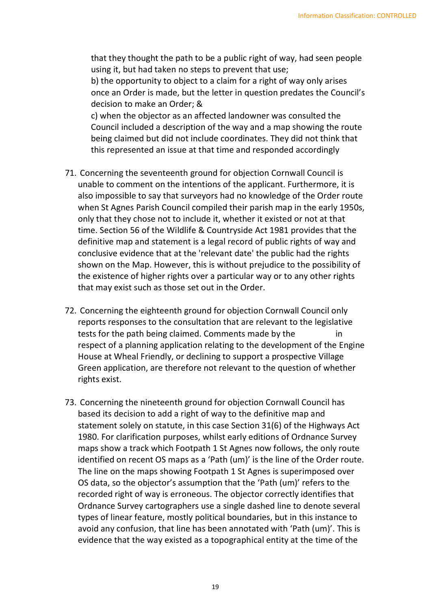that they thought the path to be a public right of way, had seen people using it, but had taken no steps to prevent that use;

 b) the opportunity to object to a claim for a right of way only arises once an Order is made, but the letter in question predates the Council's decision to make an Order; &

 c) when the objector as an affected landowner was consulted the Council included a description of the way and a map showing the route being claimed but did not include coordinates. They did not think that this represented an issue at that time and responded accordingly

- 71. Concerning the seventeenth ground for objection Cornwall Council is unable to comment on the intentions of the applicant. Furthermore, it is also impossible to say that surveyors had no knowledge of the Order route when St Agnes Parish Council compiled their parish map in the early 1950s, only that they chose not to include it, whether it existed or not at that time. Section 56 of the Wildlife & Countryside Act 1981 provides that the definitive map and statement is a legal record of public rights of way and conclusive evidence that at the 'relevant date' the public had the rights shown on the Map. However, this is without prejudice to the possibility of the existence of higher rights over a particular way or to any other rights that may exist such as those set out in the Order.
- 72. Concerning the eighteenth ground for objection Cornwall Council only reports responses to the consultation that are relevant to the legislative tests for the path being claimed. Comments made by the in respect of a planning application relating to the development of the Engine House at Wheal Friendly, or declining to support a prospective Village Green application, are therefore not relevant to the question of whether rights exist.
- 73. Concerning the nineteenth ground for objection Cornwall Council has based its decision to add a right of way to the definitive map and statement solely on statute, in this case Section 31(6) of the Highways Act 1980. For clarification purposes, whilst early editions of Ordnance Survey maps show a track which Footpath 1 St Agnes now follows, the only route identified on recent OS maps as a 'Path (um)' is the line of the Order route. The line on the maps showing Footpath 1 St Agnes is superimposed over OS data, so the objector's assumption that the 'Path (um)' refers to the recorded right of way is erroneous. The objector correctly identifies that Ordnance Survey cartographers use a single dashed line to denote several types of linear feature, mostly political boundaries, but in this instance to avoid any confusion, that line has been annotated with 'Path (um)'. This is evidence that the way existed as a topographical entity at the time of the